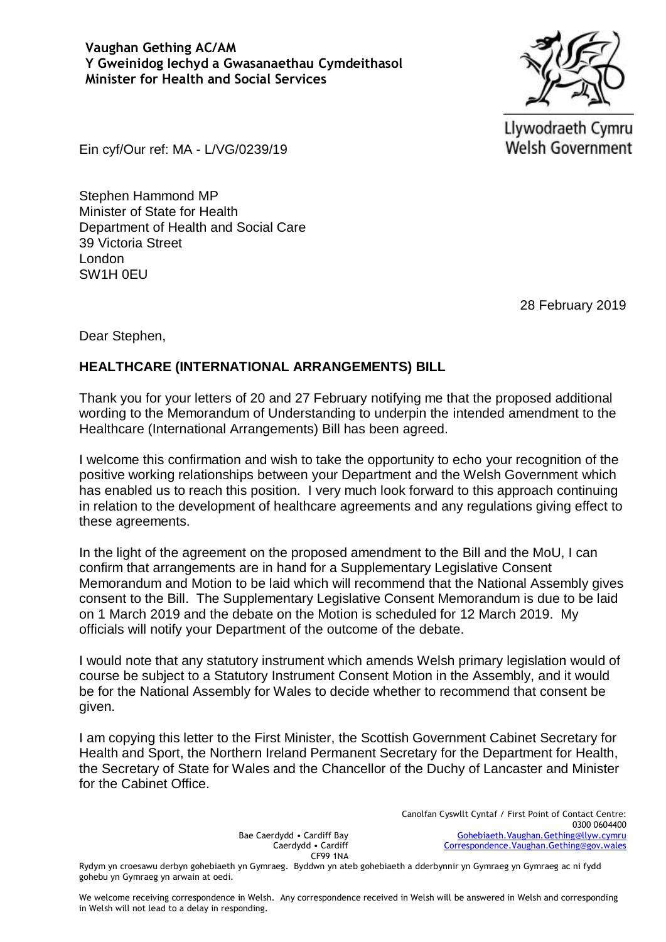Llywodraeth Cymru **Welsh Government** 

Ein cyf/Our ref: MA - L/VG/0239/19

Stephen Hammond MP Minister of State for Health Department of Health and Social Care 39 Victoria Street London SW1H 0EU

28 February 2019

Dear Stephen,

## **HEALTHCARE (INTERNATIONAL ARRANGEMENTS) BILL**

Thank you for your letters of 20 and 27 February notifying me that the proposed additional wording to the Memorandum of Understanding to underpin the intended amendment to the Healthcare (International Arrangements) Bill has been agreed.

I welcome this confirmation and wish to take the opportunity to echo your recognition of the positive working relationships between your Department and the Welsh Government which has enabled us to reach this position. I very much look forward to this approach continuing in relation to the development of healthcare agreements and any regulations giving effect to these agreements.

In the light of the agreement on the proposed amendment to the Bill and the MoU, I can confirm that arrangements are in hand for a Supplementary Legislative Consent Memorandum and Motion to be laid which will recommend that the National Assembly gives consent to the Bill. The Supplementary Legislative Consent Memorandum is due to be laid on 1 March 2019 and the debate on the Motion is scheduled for 12 March 2019. My officials will notify your Department of the outcome of the debate.

I would note that any statutory instrument which amends Welsh primary legislation would of course be subject to a Statutory Instrument Consent Motion in the Assembly, and it would be for the National Assembly for Wales to decide whether to recommend that consent be given.

I am copying this letter to the First Minister, the Scottish Government Cabinet Secretary for Health and Sport, the Northern Ireland Permanent Secretary for the Department for Health, the Secretary of State for Wales and the Chancellor of the Duchy of Lancaster and Minister for the Cabinet Office.

> Bae Caerdydd • Cardiff Bay Caerdydd • Cardiff CF99 1NA

Canolfan Cyswllt Cyntaf / First Point of Contact Centre: 0300 0604400 [Gohebiaeth.Vaughan.Gething@llyw.cymru](mailto:Gohebiaeth.Vaughan.Gething@llyw.cymru) [Correspondence.Vaughan.Gething@gov.wales](mailto:Correspondence.Vaughan.Gething@gov.wales)

Rydym yn croesawu derbyn gohebiaeth yn Gymraeg. Byddwn yn ateb gohebiaeth a dderbynnir yn Gymraeg yn Gymraeg ac ni fydd gohebu yn Gymraeg yn arwain at oedi.

We welcome receiving correspondence in Welsh. Any correspondence received in Welsh will be answered in Welsh and corresponding in Welsh will not lead to a delay in responding.